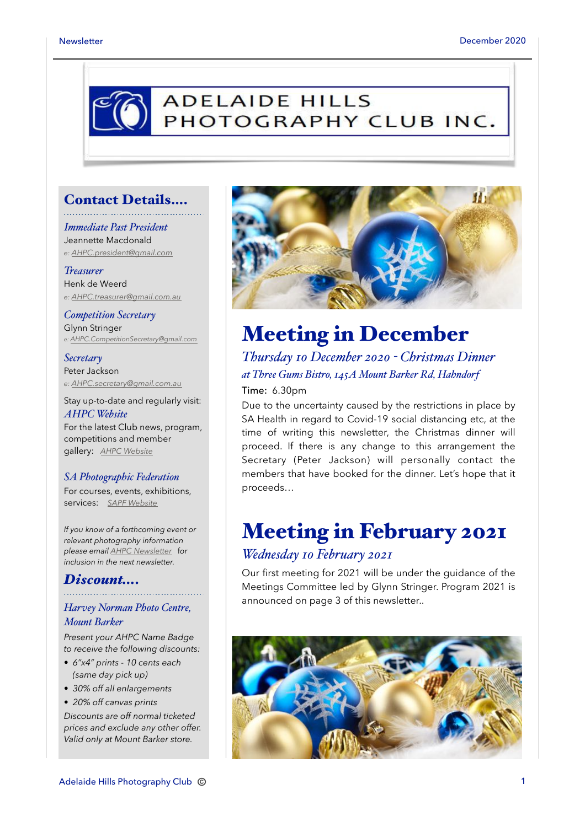# **ADELAIDE HILLS** PHOTOGRAPHY CLUB INC.

### Contact Details….

*Immediate Past President* Jeannette Macdonald *e: [AHPC.president@gmail.com](mailto:AHPC.president@gmail.com)*

*Treasurer* Henk de Weerd *e: [AHPC.treasurer@gmail.com.au](mailto:AHPC.treasurer@gmail.com.au)*

*Competition Secretary* Glynn Stringer *e: [AHPC.CompetitionSecretary@gmail.com](mailto:AHPC.CompetitionSecretary@gmail.com)*

*Secretary* Peter Jackson *e: [AHPC.secretary@gmail.com.au](mailto:AHPC.treasurer@gmail.com.au)*

Stay up-to-date and regularly visit: *AHPC Website* For the latest Club news, program, competitions and member

#### *SA Photographic Federation*

gallery: *[AHPC Website](http://www.adelaidehillsphotographyclub.com.au)*

For courses, events, exhibitions, services: *[SAPF Website](https://www.sapf.org.au)*

*If you know of a forthcoming event or relevant photography information please email [AHPC Newsletter](mailto:paulaphotoclick@gmail.com)* f*or inclusion in the next newsletter.* 

#### *Discount….*

#### *Harvey Norman Photo Centre, Mount Barker*

*Present your AHPC Name Badge to receive the following discounts:* 

- *6"x4" prints 10 cents each (same day pick up)*
- *30% off all enlargements*

• *20% off canvas prints Discounts are off normal ticketed prices and exclude any other offer. Valid only at Mount Barker store.*



### Meeting in December

*Thursday 10 December 2020 - Christmas Dinner at Three Gums Bistro, 145A Mount Barker Rd, Hahndorf*

Time: 6.30pm

Due to the uncertainty caused by the restrictions in place by SA Health in regard to Covid-19 social distancing etc, at the time of writing this newsletter, the Christmas dinner will proceed. If there is any change to this arrangement the Secretary (Peter Jackson) will personally contact the members that have booked for the dinner. Let's hope that it proceeds…

### Meeting in February 2021

#### *Wednesday 10 February 2021*

Our first meeting for 2021 will be under the guidance of the Meetings Committee led by Glynn Stringer. Program 2021 is announced on page 3 of this newsletter..

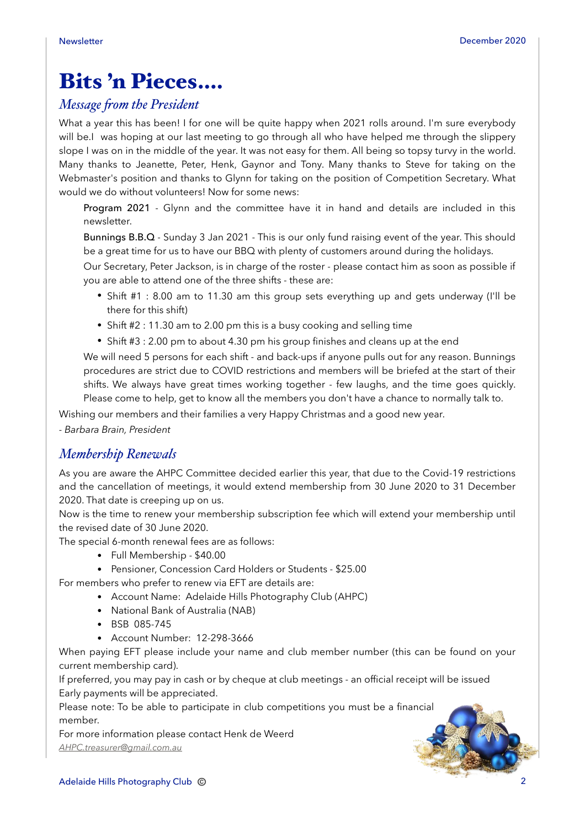## Bits 'n Pieces….

### *Message "om the President*

What a year this has been! I for one will be quite happy when 2021 rolls around. I'm sure everybody will be.I was hoping at our last meeting to go through all who have helped me through the slippery slope I was on in the middle of the year. It was not easy for them. All being so topsy turvy in the world. Many thanks to Jeanette, Peter, Henk, Gaynor and Tony. Many thanks to Steve for taking on the Webmaster's position and thanks to Glynn for taking on the position of Competition Secretary. What would we do without volunteers! Now for some news:

Program 2021 - Glynn and the committee have it in hand and details are included in this newsletter.

Bunnings B.B.Q - Sunday 3 Jan 2021 - This is our only fund raising event of the year. This should be a great time for us to have our BBQ with plenty of customers around during the holidays.

Our Secretary, Peter Jackson, is in charge of the roster - please contact him as soon as possible if you are able to attend one of the three shifts - these are:

- Shift #1 : 8.00 am to 11.30 am this group sets everything up and gets underway (I'll be there for this shift)
- Shift #2 : 11.30 am to 2.00 pm this is a busy cooking and selling time
- Shift #3 : 2.00 pm to about 4.30 pm his group finishes and cleans up at the end

We will need 5 persons for each shift - and back-ups if anyone pulls out for any reason. Bunnings procedures are strict due to COVID restrictions and members will be briefed at the start of their shifts. We always have great times working together - few laughs, and the time goes quickly. Please come to help, get to know all the members you don't have a chance to normally talk to.

Wishing our members and their families a very Happy Christmas and a good new year.

*- Barbara Brain, President* 

### *Membership Renewals*

As you are aware the AHPC Committee decided earlier this year, that due to the Covid-19 restrictions and the cancellation of meetings, it would extend membership from 30 June 2020 to 31 December 2020. That date is creeping up on us.

Now is the time to renew your membership subscription fee which will extend your membership until the revised date of 30 June 2020.

The special 6-month renewal fees are as follows:

- Full Membership \$40.00
- Pensioner, Concession Card Holders or Students \$25.00

For members who prefer to renew via EFT are details are:

- Account Name: Adelaide Hills Photography Club (AHPC)
- National Bank of Australia (NAB)
- BSB 085-745
- Account Number: 12-298-3666

When paying EFT please include your name and club member number (this can be found on your current membership card).

If preferred, you may pay in cash or by cheque at club meetings - an official receipt will be issued Early payments will be appreciated.

Please note: To be able to participate in club competitions you must be a financial member.

For more information please contact Henk de Weerd *[AHPC.treasurer@gmail.com.au](mailto:AHPC.treasurer@gmail.com.au)*

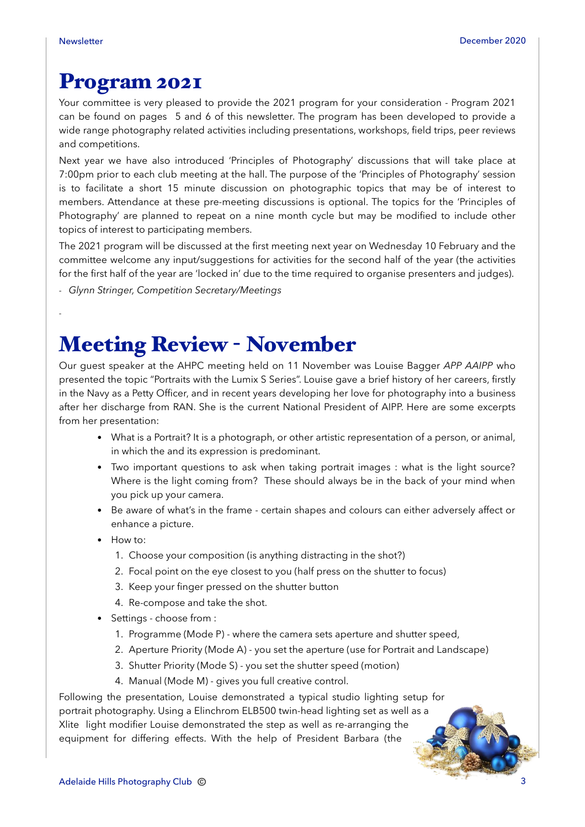*-*

### Program 2021

Your committee is very pleased to provide the 2021 program for your consideration - Program 2021 can be found on pages 5 and 6 of this newsletter. The program has been developed to provide a wide range photography related activities including presentations, workshops, field trips, peer reviews and competitions.

Next year we have also introduced 'Principles of Photography' discussions that will take place at 7:00pm prior to each club meeting at the hall. The purpose of the 'Principles of Photography' session is to facilitate a short 15 minute discussion on photographic topics that may be of interest to members. Attendance at these pre-meeting discussions is optional. The topics for the 'Principles of Photography' are planned to repeat on a nine month cycle but may be modified to include other topics of interest to participating members.

The 2021 program will be discussed at the first meeting next year on Wednesday 10 February and the committee welcome any input/suggestions for activities for the second half of the year (the activities for the first half of the year are 'locked in' due to the time required to organise presenters and judges).

*- Glynn Stringer, Competition Secretary/Meetings* 

## Meeting Review - November

Our guest speaker at the AHPC meeting held on 11 November was Louise Bagger *APP AAIPP* who presented the topic "Portraits with the Lumix S Series". Louise gave a brief history of her careers, firstly in the Navy as a Petty Officer, and in recent years developing her love for photography into a business after her discharge from RAN. She is the current National President of AIPP. Here are some excerpts from her presentation:

- What is a Portrait? It is a photograph, or other artistic representation of a person, or animal, in which the and its expression is predominant.
- Two important questions to ask when taking portrait images : what is the light source? Where is the light coming from? These should always be in the back of your mind when you pick up your camera.
- Be aware of what's in the frame certain shapes and colours can either adversely affect or enhance a picture.
- How to:
	- 1. Choose your composition (is anything distracting in the shot?)
	- 2. Focal point on the eye closest to you (half press on the shutter to focus)
	- 3. Keep your finger pressed on the shutter button
	- 4. Re-compose and take the shot.
- Settings choose from :
	- 1. Programme (Mode P) where the camera sets aperture and shutter speed,
	- 2. Aperture Priority (Mode A) you set the aperture (use for Portrait and Landscape)
	- 3. Shutter Priority (Mode S) you set the shutter speed (motion)
	- 4. Manual (Mode M) gives you full creative control.

Following the presentation, Louise demonstrated a typical studio lighting setup for portrait photography. Using a Elinchrom ELB500 twin-head lighting set as well as a Xlite light modifier Louise demonstrated the step as well as re-arranging the equipment for differing effects. With the help of President Barbara (the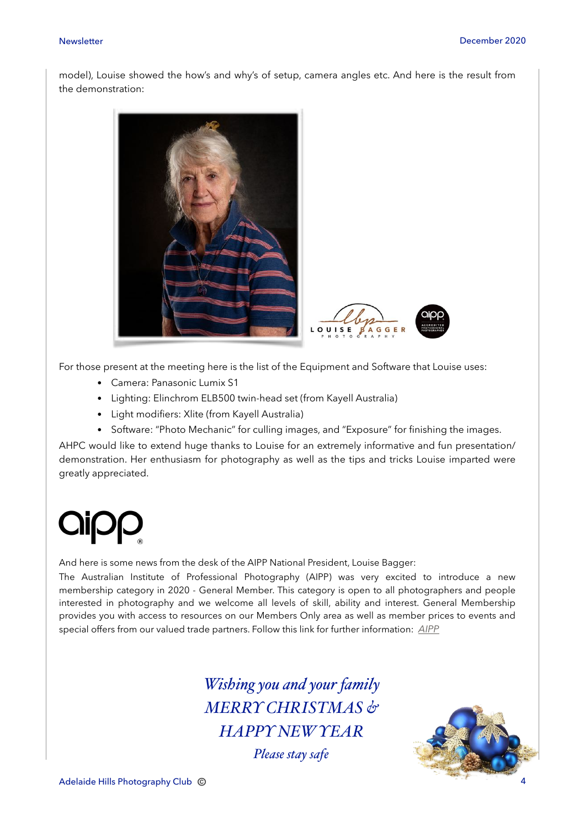model), Louise showed the how's and why's of setup, camera angles etc. And here is the result from the demonstration:



For those present at the meeting here is the list of the Equipment and Software that Louise uses:

- Camera: Panasonic Lumix S1
- Lighting: Elinchrom ELB500 twin-head set (from Kayell Australia)
- Light modifiers: Xlite (from Kayell Australia)
- Software: "Photo Mechanic" for culling images, and "Exposure" for finishing the images.

AHPC would like to extend huge thanks to Louise for an extremely informative and fun presentation/ demonstration. Her enthusiasm for photography as well as the tips and tricks Louise imparted were greatly appreciated.



And here is some news from the desk of the AIPP National President, Louise Bagger:

The Australian Institute of Professional Photography (AIPP) was very excited to introduce a new membership category in 2020 - General Member. This category is open to all photographers and people interested in photography and we welcome all levels of skill, ability and interest. General Membership provides you with access to resources on our Members Only area as well as member prices to events and special offers from our valued trade partners. Follow this link for further information: *[AIPP](https://aipp.com.au/join/general-membership/)*

> *Wishing you and your family MERRY CHRISTMAS & HAPPY NEW YEAR*

> > *Please stay safe*

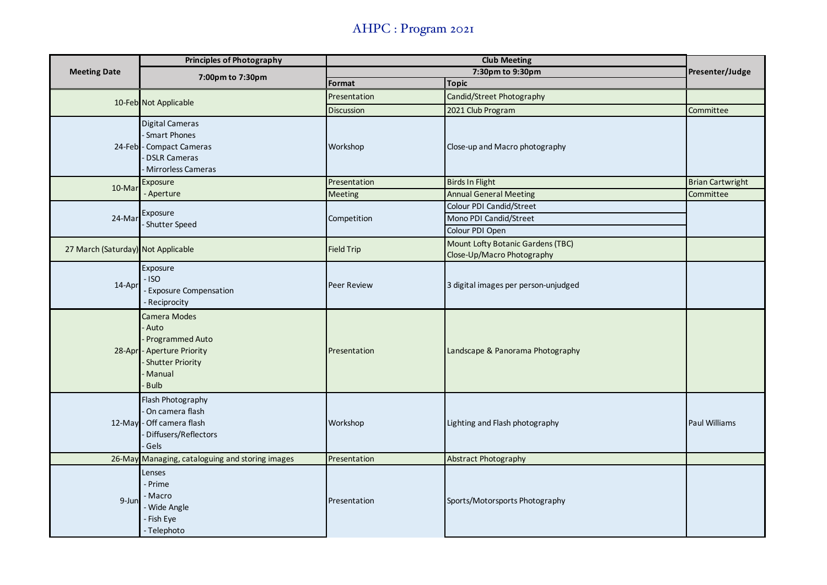### AHPC : Program 2021

| <b>Meeting Date</b>                | <b>Principles of Photography</b>                                                                                          | <b>Club Meeting</b> |                                                                       |                         |
|------------------------------------|---------------------------------------------------------------------------------------------------------------------------|---------------------|-----------------------------------------------------------------------|-------------------------|
|                                    | 7:00pm to 7:30pm                                                                                                          | 7:30pm to 9:30pm    |                                                                       | Presenter/Judge         |
|                                    |                                                                                                                           | Format              | <b>Topic</b>                                                          |                         |
|                                    | 10-Feb Not Applicable                                                                                                     | Presentation        | Candid/Street Photography                                             |                         |
|                                    |                                                                                                                           | Discussion          | 2021 Club Program                                                     | Committee               |
|                                    | Digital Cameras<br>Smart Phones<br>24-Feb - Compact Cameras<br><b>DSLR Cameras</b><br>Mirrorless Cameras                  | Workshop            | Close-up and Macro photography                                        |                         |
| 10-Mar                             | Exposure                                                                                                                  | Presentation        | <b>Birds In Flight</b>                                                | <b>Brian Cartwright</b> |
|                                    | - Aperture                                                                                                                | <b>Meeting</b>      | <b>Annual General Meeting</b>                                         | Committee               |
| 24-Mar                             | Exposure<br>- Shutter Speed                                                                                               | Competition         | Colour PDI Candid/Street<br>Mono PDI Candid/Street<br>Colour PDI Open |                         |
| 27 March (Saturday) Not Applicable |                                                                                                                           | <b>Field Trip</b>   | Mount Lofty Botanic Gardens (TBC)<br>Close-Up/Macro Photography       |                         |
| 14-Apr                             | Exposure<br>$-$ ISO<br>- Exposure Compensation<br>- Reciprocity                                                           | <b>Peer Review</b>  | 3 digital images per person-unjudged                                  |                         |
|                                    | Camera Modes<br>Auto<br>Programmed Auto<br>28-Apr - Aperture Priority<br><b>Shutter Priority</b><br>Manual<br><b>Bulb</b> | Presentation        | Landscape & Panorama Photography                                      |                         |
|                                    | Flash Photography<br>On camera flash<br>12-May - Off camera flash<br>Diffusers/Reflectors<br>Gels                         | Workshop            | Lighting and Flash photography                                        | <b>Paul Williams</b>    |
|                                    | 26-May Managing, cataloguing and storing images                                                                           | Presentation        | Abstract Photography                                                  |                         |
| 9-Jun                              | Lenses<br>- Prime<br>- Macro<br>- Wide Angle<br>- Fish Eye<br>- Telephoto                                                 | Presentation        | Sports/Motorsports Photography                                        |                         |